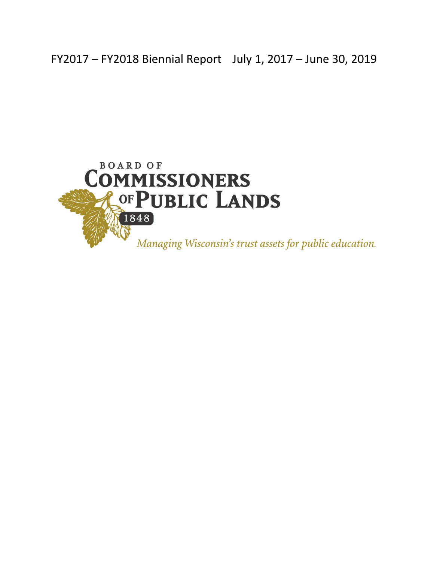FY2017 – FY2018 Biennial Report July 1, 2017 – June 30, 2019

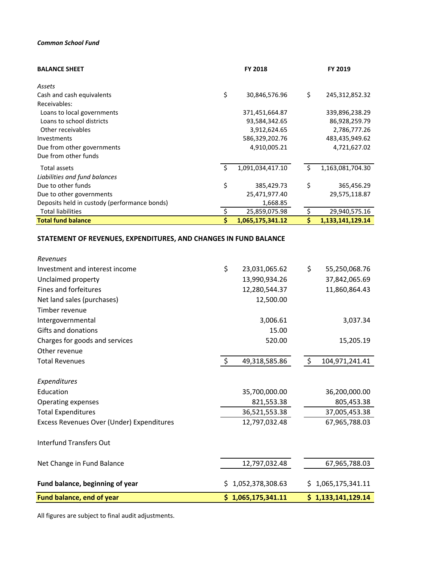#### *Common School Fund*

| <b>BALANCE SHEET</b>                         | <b>FY 2018</b>         |    | FY 2019           |
|----------------------------------------------|------------------------|----|-------------------|
| Assets                                       |                        |    |                   |
| Cash and cash equivalents                    | \$<br>30,846,576.96    | \$ | 245, 312, 852. 32 |
| Receivables:                                 |                        |    |                   |
| Loans to local governments                   | 371,451,664.87         |    | 339,896,238.29    |
| Loans to school districts                    | 93,584,342.65          |    | 86,928,259.79     |
| Other receivables                            | 3,912,624.65           |    | 2,786,777.26      |
| Investments                                  | 586,329,202.76         |    | 483,435,949.62    |
| Due from other governments                   | 4,910,005.21           |    | 4,721,627.02      |
| Due from other funds                         |                        |    |                   |
| Total assets                                 | \$<br>1,091,034,417.10 | \$ | 1,163,081,704.30  |
| Liabilities and fund balances                |                        |    |                   |
| Due to other funds                           | \$<br>385,429.73       | \$ | 365,456.29        |
| Due to other governments                     | 25,471,977.40          |    | 29,575,118.87     |
| Deposits held in custody (performance bonds) | 1,668.85               |    |                   |
| <b>Total liabilities</b>                     | 25,859,075.98          |    | 29,940,575.16     |
| <b>Total fund balance</b>                    | 1,065,175,341.12       |    | 1,133,141,129.14  |

### **STATEMENT OF REVENUES, EXPENDITURES, AND CHANGES IN FUND BALANCE**

| Fund balance, end of year                 |         | \$1,065,175,341.11 |                | \$1,133,141,129.14 |
|-------------------------------------------|---------|--------------------|----------------|--------------------|
| Fund balance, beginning of year           | \$.     | 1,052,378,308.63   |                | \$1,065,175,341.11 |
| Net Change in Fund Balance                |         | 12,797,032.48      |                | 67,965,788.03      |
| <b>Interfund Transfers Out</b>            |         |                    |                |                    |
| Excess Revenues Over (Under) Expenditures |         | 12,797,032.48      |                | 67,965,788.03      |
| <b>Total Expenditures</b>                 |         | 36,521,553.38      |                | 37,005,453.38      |
| Operating expenses                        |         | 821,553.38         |                | 805,453.38         |
| Education                                 |         | 35,700,000.00      |                | 36,200,000.00      |
| Expenditures                              |         |                    |                |                    |
| <b>Total Revenues</b>                     | $\zeta$ | 49,318,585.86      | $\ddot{\zeta}$ | 104,971,241.41     |
| Other revenue                             |         |                    |                |                    |
| Charges for goods and services            |         | 520.00             |                | 15,205.19          |
| Gifts and donations                       |         | 15.00              |                |                    |
| Intergovernmental                         |         | 3,006.61           |                | 3,037.34           |
| Timber revenue                            |         |                    |                |                    |
| Net land sales (purchases)                |         | 12,500.00          |                |                    |
| Fines and forfeitures                     |         | 12,280,544.37      |                | 11,860,864.43      |
| Unclaimed property                        |         | 13,990,934.26      |                | 37,842,065.69      |
| Investment and interest income            | \$      | 23,031,065.62      | \$             | 55,250,068.76      |
| Revenues                                  |         |                    |                |                    |

All figures are subject to final audit adjustments.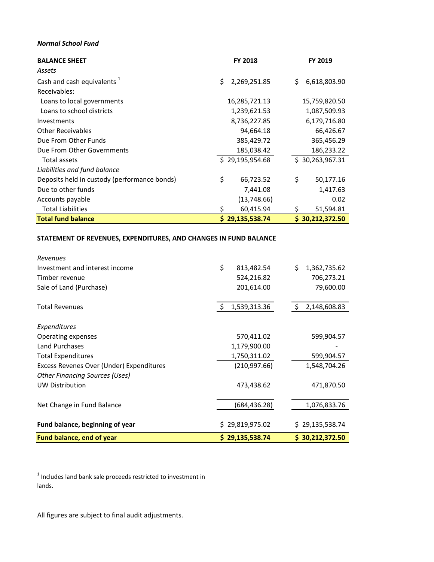#### *Normal School Fund*

| <b>BALANCE SHEET</b>                         | <b>FY 2018</b>      | <b>FY 2019</b>      |
|----------------------------------------------|---------------------|---------------------|
| Assets                                       |                     |                     |
| Cash and cash equivalents <sup>1</sup>       | \$<br>2,269,251.85  | \$<br>6,618,803.90  |
| Receivables:                                 |                     |                     |
| Loans to local governments                   | 16,285,721.13       | 15,759,820.50       |
| Loans to school districts                    | 1,239,621.53        | 1,087,509.93        |
| Investments                                  | 8,736,227.85        | 6,179,716.80        |
| <b>Other Receivables</b>                     | 94,664.18           | 66,426.67           |
| Due From Other Funds                         | 385,429.72          | 365,456.29          |
| Due From Other Governments                   | 185,038.42          | 186,233.22          |
| Total assets                                 | \$29,195,954.68     | \$30,263,967.31     |
| Liabilities and fund balance                 |                     |                     |
| Deposits held in custody (performance bonds) | \$<br>66,723.52     | \$<br>50,177.16     |
| Due to other funds                           | 7,441.08            | 1,417.63            |
| Accounts payable                             | (13,748.66)         | 0.02                |
| <b>Total Liabilities</b>                     | \$<br>60,415.94     | Ŝ.<br>51,594.81     |
| <b>Total fund balance</b>                    | 29,135,538.74<br>Ŝ. | 30,212,372.50<br>S. |

#### **STATEMENT OF REVENUES, EXPENDITURES, AND CHANGES IN FUND BALANCE**

| <b>Fund balance, end of year</b>         | \$29,135,538.74     | \$30,212,372.50    |
|------------------------------------------|---------------------|--------------------|
| Fund balance, beginning of year          | \$29,819,975.02     | \$29,135,538.74    |
| Net Change in Fund Balance               | (684,436.28)        | 1,076,833.76       |
| <b>UW Distribution</b>                   | 473,438.62          | 471,870.50         |
| <b>Other Financing Sources (Uses)</b>    |                     |                    |
| Excess Revenes Over (Under) Expenditures | (210, 997.66)       | 1,548,704.26       |
| <b>Total Expenditures</b>                | 1,750,311.02        | 599,904.57         |
| Land Purchases                           | 1,179,900.00        |                    |
| Operating expenses                       | 570,411.02          | 599,904.57         |
| Expenditures                             |                     |                    |
| <b>Total Revenues</b>                    | -\$<br>1,539,313.36 | 2,148,608.83<br>Ŝ. |
| Sale of Land (Purchase)                  | 201,614.00          | 79,600.00          |
| Timber revenue                           | 524,216.82          | 706,273.21         |
| Investment and interest income           | \$<br>813,482.54    | \$<br>1,362,735.62 |
| Revenues                                 |                     |                    |

 $1$  Includes land bank sale proceeds restricted to investment in lands.

All figures are subject to final audit adjustments.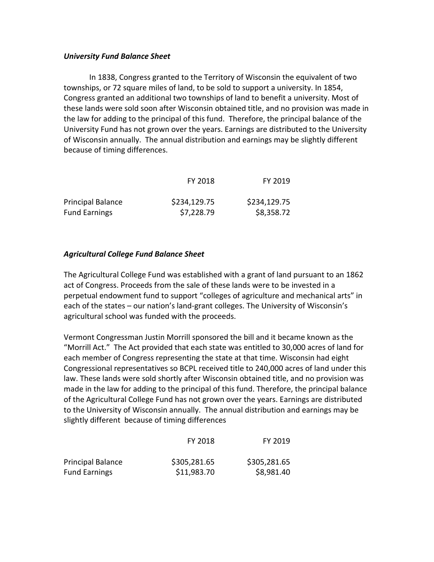#### *University Fund Balance Sheet*

In 1838, Congress granted to the Territory of Wisconsin the equivalent of two townships, or 72 square miles of land, to be sold to support a university. In 1854, Congress granted an additional two townships of land to benefit a university. Most of these lands were sold soon after Wisconsin obtained title, and no provision was made in the law for adding to the principal of this fund. Therefore, the principal balance of the University Fund has not grown over the years. Earnings are distributed to the University of Wisconsin annually. The annual distribution and earnings may be slightly different because of timing differences.

|                          | FY 2018      | FY 2019      |
|--------------------------|--------------|--------------|
| <b>Principal Balance</b> | \$234,129.75 | \$234,129.75 |
| <b>Fund Earnings</b>     | \$7,228.79   | \$8,358.72   |

### *Agricultural College Fund Balance Sheet*

The Agricultural College Fund was established with a grant of land pursuant to an 1862 act of Congress. Proceeds from the sale of these lands were to be invested in a perpetual endowment fund to support "colleges of agriculture and mechanical arts" in each of the states – our nation's land-grant colleges. The University of Wisconsin's agricultural school was funded with the proceeds.

Vermont Congressman Justin Morrill sponsored the bill and it became known as the "Morrill Act." The Act provided that each state was entitled to 30,000 acres of land for each member of Congress representing the state at that time. Wisconsin had eight Congressional representatives so BCPL received title to 240,000 acres of land under this law. These lands were sold shortly after Wisconsin obtained title, and no provision was made in the law for adding to the principal of this fund. Therefore, the principal balance of the Agricultural College Fund has not grown over the years. Earnings are distributed to the University of Wisconsin annually. The annual distribution and earnings may be slightly different because of timing differences

|                          | FY 2018      | FY 2019      |
|--------------------------|--------------|--------------|
| <b>Principal Balance</b> | \$305,281.65 | \$305,281.65 |
| <b>Fund Earnings</b>     | \$11,983.70  | \$8,981.40   |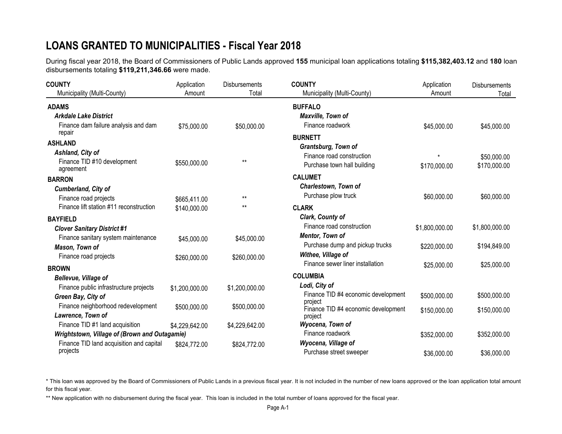# **LOANS GRANTED TO MUNICIPALITIES - Fiscal Year 2018**

During fiscal year 2018, the Board of Commissioners of Public Lands approved **155** municipal loan applications totaling **\$115,382,403.12** and **180** loan disbursements totaling **\$119,211,346.66** were made.

| <b>COUNTY</b>                                  | Application    | <b>Disbursements</b> | <b>COUNTY</b>                                  | Application    | Disbursements  |
|------------------------------------------------|----------------|----------------------|------------------------------------------------|----------------|----------------|
| Municipality (Multi-County)                    | Amount         | Total                | Municipality (Multi-County)                    | Amount         | Total          |
| <b>ADAMS</b>                                   |                |                      | <b>BUFFALO</b>                                 |                |                |
| <b>Arkdale Lake District</b>                   |                |                      | Maxville, Town of                              |                |                |
| Finance dam failure analysis and dam<br>repair | \$75,000.00    | \$50,000.00          | Finance roadwork                               | \$45,000.00    | \$45,000.00    |
| <b>ASHLAND</b>                                 |                |                      | <b>BURNETT</b>                                 |                |                |
| Ashland, City of                               |                |                      | Grantsburg, Town of                            |                |                |
| Finance TID #10 development                    | \$550,000.00   | $***$                | Finance road construction                      |                | \$50,000.00    |
| agreement                                      |                |                      | Purchase town hall building                    | \$170,000.00   | \$170,000.00   |
| <b>BARRON</b>                                  |                |                      | <b>CALUMET</b>                                 |                |                |
| Cumberland, City of                            |                |                      | Charlestown, Town of                           |                |                |
| Finance road projects                          | \$665,411.00   | $***$                | Purchase plow truck                            | \$60,000.00    | \$60,000.00    |
| Finance lift station #11 reconstruction        | \$140,000.00   | $***$                | <b>CLARK</b>                                   |                |                |
| <b>BAYFIELD</b>                                |                |                      | Clark, County of                               |                |                |
| <b>Clover Sanitary District #1</b>             |                |                      | Finance road construction                      | \$1,800,000.00 | \$1,800,000.00 |
| Finance sanitary system maintenance            | \$45,000.00    | \$45,000.00          | Mentor, Town of                                |                |                |
| Mason, Town of                                 |                |                      | Purchase dump and pickup trucks                | \$220,000.00   | \$194,849.00   |
| Finance road projects                          | \$260,000.00   | \$260,000.00         | Withee, Village of                             |                |                |
| <b>BROWN</b>                                   |                |                      | Finance sewer liner installation               | \$25,000.00    | \$25,000.00    |
| <b>Bellevue, Village of</b>                    |                |                      | <b>COLUMBIA</b>                                |                |                |
| Finance public infrastructure projects         | \$1,200,000.00 | \$1,200,000.00       | Lodi, City of                                  |                |                |
| Green Bay, City of                             |                |                      | Finance TID #4 economic development            | \$500,000.00   | \$500,000.00   |
| Finance neighborhood redevelopment             | \$500,000.00   | \$500,000.00         | project<br>Finance TID #4 economic development |                |                |
| Lawrence, Town of                              |                |                      | project                                        | \$150,000.00   | \$150,000.00   |
| Finance TID #1 land acquisition                | \$4,229,642.00 | \$4,229,642.00       | Wyocena, Town of                               |                |                |
| Wrightstown, Village of (Brown and Outagamie)  |                |                      | Finance roadwork                               | \$352,000.00   | \$352,000.00   |
| Finance TID land acquisition and capital       | \$824,772.00   | \$824,772.00         | Wyocena, Village of                            |                |                |
| projects                                       |                |                      | Purchase street sweeper                        | \$36,000.00    | \$36,000.00    |

\* This loan was approved by the Board of Commissioners of Public Lands in a previous fiscal year. It is not included in the number of new loans approved or the loan application total amount for this fiscal year.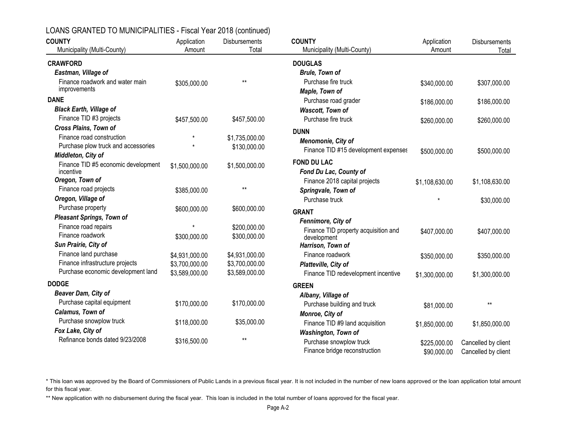| <b>COUNTY</b>                            | Application    | Disbursements                    | <b>COUNTY</b>                        | Application    | Disbursements       |
|------------------------------------------|----------------|----------------------------------|--------------------------------------|----------------|---------------------|
| Municipality (Multi-County)              | Amount         | Total                            | Municipality (Multi-County)          | Amount         | Total               |
| <b>CRAWFORD</b>                          |                |                                  | <b>DOUGLAS</b>                       |                |                     |
| Eastman, Village of                      |                |                                  | <b>Brule, Town of</b>                |                |                     |
| Finance roadwork and water main          | \$305,000.00   | $**$                             | Purchase fire truck                  | \$340,000.00   | \$307,000.00        |
| improvements                             |                |                                  | Maple, Town of                       |                |                     |
| <b>DANE</b>                              |                |                                  | Purchase road grader                 | \$186,000.00   | \$186,000.00        |
| <b>Black Earth, Village of</b>           |                |                                  | Wascott, Town of                     |                |                     |
| Finance TID #3 projects                  | \$457,500.00   | \$457,500.00                     | Purchase fire truck                  | \$260,000.00   | \$260,000.00        |
| <b>Cross Plains, Town of</b>             |                |                                  | <b>DUNN</b>                          |                |                     |
| Finance road construction                |                | \$1,735,000.00                   | Menomonie, City of                   |                |                     |
| Purchase plow truck and accessories      | $\star$        | \$130,000.00                     | Finance TID #15 development expenses | \$500,000.00   | \$500,000.00        |
| Middleton, City of                       |                |                                  |                                      |                |                     |
| Finance TID #5 economic development      | \$1,500,000.00 | \$1,500,000.00                   | <b>FOND DU LAC</b>                   |                |                     |
| incentive                                |                |                                  | Fond Du Lac, County of               |                |                     |
| Oregon, Town of<br>Finance road projects |                | $**$                             | Finance 2018 capital projects        | \$1,108,630.00 | \$1,108,630.00      |
|                                          | \$385,000.00   |                                  | Springvale, Town of                  |                |                     |
| Oregon, Village of<br>Purchase property  |                |                                  | Purchase truck                       |                | \$30,000.00         |
|                                          | \$600,000.00   | \$600,000.00                     | <b>GRANT</b>                         |                |                     |
| <b>Pleasant Springs, Town of</b>         |                |                                  | Fennimore, City of                   |                |                     |
| Finance road repairs<br>Finance roadwork |                | \$200,000.00                     | Finance TID property acquisition and | \$407,000.00   | \$407,000.00        |
| Sun Prairie, City of                     | \$300,000.00   | \$300,000.00                     | development                          |                |                     |
| Finance land purchase                    |                |                                  | Harrison, Town of                    |                |                     |
| Finance infrastructure projects          | \$4,931,000.00 | \$4,931,000.00                   | Finance roadwork                     | \$350,000.00   | \$350,000.00        |
| Purchase economic development land       | \$3,700,000.00 | \$3,700,000.00<br>\$3,589,000.00 | Platteville, City of                 |                |                     |
|                                          | \$3,589,000.00 |                                  | Finance TID redevelopment incentive  | \$1,300,000.00 | \$1,300,000.00      |
| <b>DODGE</b>                             |                |                                  | <b>GREEN</b>                         |                |                     |
| Beaver Dam, City of                      |                |                                  | Albany, Village of                   |                |                     |
| Purchase capital equipment               | \$170,000.00   | \$170,000.00                     | Purchase building and truck          | \$81,000.00    | $**$                |
| Calamus, Town of                         |                |                                  | Monroe, City of                      |                |                     |
| Purchase snowplow truck                  | \$118,000.00   | \$35,000.00                      | Finance TID #9 land acquisition      | \$1,850,000.00 | \$1,850,000.00      |
| Fox Lake, City of                        |                |                                  | Washington, Town of                  |                |                     |
| Refinance bonds dated 9/23/2008          | \$316,500.00   | $**$                             | Purchase snowplow truck              | \$225,000.00   | Cancelled by client |
|                                          |                |                                  | Finance bridge reconstruction        | \$90,000.00    | Cancelled by client |

\* This loan was approved by the Board of Commissioners of Public Lands in a previous fiscal year. It is not included in the number of new loans approved or the loan application total amount for this fiscal year.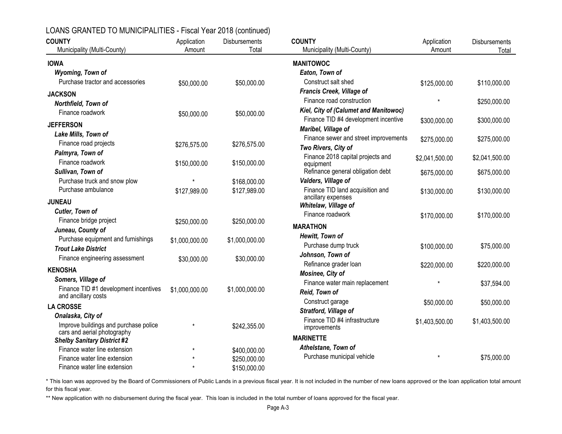| <b>COUNTY</b>                                                        | Application    | <b>Disbursements</b>         | <b>COUNTY</b>                                  | Application    | Disbursements  |
|----------------------------------------------------------------------|----------------|------------------------------|------------------------------------------------|----------------|----------------|
| Municipality (Multi-County)                                          | Amount         | Total                        | Municipality (Multi-County)                    | Amount         | Total          |
| <b>IOWA</b>                                                          |                |                              | <b>MANITOWOC</b>                               |                |                |
| Wyoming, Town of                                                     |                |                              | Eaton, Town of                                 |                |                |
| Purchase tractor and accessories                                     | \$50,000.00    | \$50,000.00                  | Construct salt shed                            | \$125,000.00   | \$110,000.00   |
| <b>JACKSON</b>                                                       |                |                              | Francis Creek, Village of                      |                |                |
| Northfield, Town of                                                  |                |                              | Finance road construction                      |                | \$250,000.00   |
| Finance roadwork                                                     | \$50,000.00    | \$50,000.00                  | Kiel, City of (Calumet and Manitowoc)          |                |                |
|                                                                      |                |                              | Finance TID #4 development incentive           | \$300,000.00   | \$300,000.00   |
| <b>JEFFERSON</b>                                                     |                |                              | Maribel, Village of                            |                |                |
| Lake Mills, Town of                                                  |                |                              | Finance sewer and street improvements          | \$275,000.00   | \$275,000.00   |
| Finance road projects                                                | \$276,575.00   | \$276,575.00                 | Two Rivers, City of                            |                |                |
| Palmyra, Town of<br>Finance roadwork                                 |                |                              | Finance 2018 capital projects and              | \$2,041,500.00 | \$2,041,500.00 |
| Sullivan, Town of                                                    | \$150,000.00   | \$150,000.00                 | equipment<br>Refinance general obligation debt |                |                |
| Purchase truck and snow plow                                         |                |                              | Valders, Village of                            | \$675,000.00   | \$675,000.00   |
| Purchase ambulance                                                   | \$127,989.00   | \$168,000.00<br>\$127,989.00 | Finance TID land acquisition and               |                | \$130,000.00   |
|                                                                      |                |                              | ancillary expenses                             | \$130,000.00   |                |
| <b>JUNEAU</b>                                                        |                |                              | Whitelaw, Village of                           |                |                |
| Cutler, Town of                                                      |                |                              | Finance roadwork                               | \$170,000.00   | \$170,000.00   |
| Finance bridge project                                               | \$250,000.00   | \$250,000.00                 | <b>MARATHON</b>                                |                |                |
| Juneau, County of                                                    |                |                              | Hewitt, Town of                                |                |                |
| Purchase equipment and furnishings                                   | \$1,000,000.00 | \$1,000,000.00               | Purchase dump truck                            | \$100,000.00   | \$75,000.00    |
| <b>Trout Lake District</b>                                           |                |                              | Johnson, Town of                               |                |                |
| Finance engineering assessment                                       | \$30,000.00    | \$30,000.00                  | Refinance grader loan                          | \$220,000.00   | \$220,000.00   |
| <b>KENOSHA</b>                                                       |                |                              | Mosinee, City of                               |                |                |
| Somers, Village of                                                   |                |                              | Finance water main replacement                 | $\star$        | \$37,594.00    |
| Finance TID #1 development incentives                                | \$1,000,000.00 | \$1,000,000.00               | Reid, Town of                                  |                |                |
| and ancillary costs                                                  |                |                              | Construct garage                               | \$50,000.00    | \$50,000.00    |
| <b>LA CROSSE</b>                                                     |                |                              | Stratford, Village of                          |                |                |
| Onalaska, City of                                                    |                |                              | Finance TID #4 infrastructure                  | \$1,403,500.00 | \$1,403,500.00 |
| Improve buildings and purchase police<br>cars and aerial photography |                | \$242,355.00                 | improvements                                   |                |                |
| <b>Shelby Sanitary District #2</b>                                   |                |                              | <b>MARINETTE</b>                               |                |                |
| Finance water line extension                                         | $\star$        | \$400,000.00                 | Athelstane, Town of                            |                |                |
| Finance water line extension                                         |                | \$250,000.00                 | Purchase municipal vehicle                     |                | \$75,000.00    |
| Finance water line extension                                         | $\star$        | \$150,000.00                 |                                                |                |                |

\* This loan was approved by the Board of Commissioners of Public Lands in a previous fiscal year. It is not included in the number of new loans approved or the loan application total amount for this fiscal year.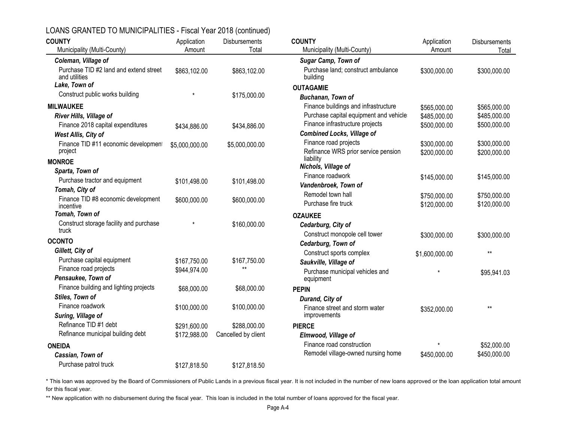| <b>COUNTY</b>                                           | Application    | <b>Disbursements</b> | <b>COUNTY</b>                                  | Application    | <b>Disbursements</b> |
|---------------------------------------------------------|----------------|----------------------|------------------------------------------------|----------------|----------------------|
| Municipality (Multi-County)                             | Amount         | Total                | Municipality (Multi-County)                    | Amount         | Total                |
| Coleman, Village of                                     |                |                      | Sugar Camp, Town of                            |                |                      |
| Purchase TID #2 land and extend street<br>and utilities | \$863,102.00   | \$863,102.00         | Purchase land; construct ambulance<br>building | \$300,000.00   | \$300,000.00         |
| Lake, Town of                                           |                |                      | <b>OUTAGAMIE</b>                               |                |                      |
| Construct public works building                         |                | \$175,000.00         | Buchanan, Town of                              |                |                      |
| <b>MILWAUKEE</b>                                        |                |                      | Finance buildings and infrastructure           | \$565,000.00   | \$565,000.00         |
| River Hills, Village of                                 |                |                      | Purchase capital equipment and vehicle         | \$485,000.00   | \$485,000.00         |
| Finance 2018 capital expenditures                       | \$434,886.00   | \$434,886.00         | Finance infrastructure projects                | \$500,000.00   | \$500,000.00         |
| West Allis, City of                                     |                |                      | <b>Combined Locks, Village of</b>              |                |                      |
| Finance TID #11 economic development                    | \$5,000,000.00 | \$5,000,000.00       | Finance road projects                          | \$300,000.00   | \$300,000.00         |
| project                                                 |                |                      | Refinance WRS prior service pension            | \$200,000.00   | \$200,000.00         |
| <b>MONROE</b>                                           |                |                      | liability                                      |                |                      |
| Sparta, Town of                                         |                |                      | Nichols, Village of                            |                |                      |
| Purchase tractor and equipment                          | \$101,498.00   | \$101,498.00         | Finance roadwork                               | \$145,000.00   | \$145,000.00         |
| Tomah, City of                                          |                |                      | Vandenbroek, Town of                           |                |                      |
| Finance TID #8 economic development                     | \$600,000.00   | \$600,000.00         | Remodel town hall                              | \$750,000.00   | \$750,000.00         |
| incentive                                               |                |                      | Purchase fire truck                            | \$120,000.00   | \$120,000.00         |
| Tomah, Town of                                          |                |                      | <b>OZAUKEE</b>                                 |                |                      |
| Construct storage facility and purchase                 |                | \$160,000.00         | Cedarburg, City of                             |                |                      |
| truck                                                   |                |                      | Construct monopole cell tower                  | \$300,000.00   | \$300,000.00         |
| <b>OCONTO</b>                                           |                |                      | Cedarburg, Town of                             |                |                      |
| Gillett, City of                                        |                |                      | Construct sports complex                       | \$1,600,000.00 | $***$                |
| Purchase capital equipment                              | \$167,750.00   | \$167,750.00         | Saukville, Village of                          |                |                      |
| Finance road projects                                   | \$944,974.00   | $***$                | Purchase municipal vehicles and                |                | \$95,941.03          |
| Pensaukee, Town of                                      |                |                      | equipment                                      |                |                      |
| Finance building and lighting projects                  | \$68,000.00    | \$68,000.00          | <b>PEPIN</b>                                   |                |                      |
| Stiles, Town of                                         |                |                      | Durand, City of                                |                |                      |
| Finance roadwork                                        | \$100,000.00   | \$100,000.00         | Finance street and storm water                 | \$352,000.00   | $***$                |
| Suring, Village of                                      |                |                      | improvements                                   |                |                      |
| Refinance TID #1 debt                                   | \$291,600.00   | \$288,000.00         | <b>PIERCE</b>                                  |                |                      |
| Refinance municipal building debt                       | \$172,988.00   | Cancelled by client  | Elmwood, Village of                            |                |                      |
| <b>ONEIDA</b>                                           |                |                      | Finance road construction                      |                | \$52,000.00          |
| Cassian, Town of                                        |                |                      | Remodel village-owned nursing home             | \$450,000.00   | \$450,000.00         |
| Purchase patrol truck                                   | \$127,818.50   | \$127,818.50         |                                                |                |                      |

\* This loan was approved by the Board of Commissioners of Public Lands in a previous fiscal year. It is not included in the number of new loans approved or the loan application total amount for this fiscal year.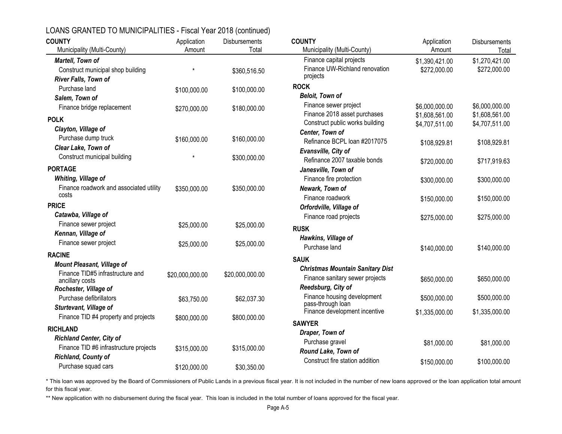| <b>COUNTY</b>                                             | Application     | Disbursements   | <b>COUNTY</b>                                          | Application    | <b>Disbursements</b> |
|-----------------------------------------------------------|-----------------|-----------------|--------------------------------------------------------|----------------|----------------------|
| Municipality (Multi-County)                               | Amount          | Total           | Municipality (Multi-County)                            | Amount         | Total                |
| Martell, Town of                                          |                 |                 | Finance capital projects                               | \$1,390,421.00 | \$1,270,421.00       |
| Construct municipal shop building<br>River Falls, Town of | $\star$         | \$360,516.50    | Finance UW-Richland renovation<br>projects             | \$272,000.00   | \$272,000.00         |
| Purchase land                                             |                 |                 | <b>ROCK</b>                                            |                |                      |
| Salem, Town of                                            | \$100,000.00    | \$100,000.00    | <b>Beloit, Town of</b>                                 |                |                      |
| Finance bridge replacement                                |                 |                 | Finance sewer project                                  | \$6,000,000.00 | \$6,000,000.00       |
|                                                           | \$270,000.00    | \$180,000.00    | Finance 2018 asset purchases                           | \$1,608,561.00 | \$1,608,561.00       |
| <b>POLK</b>                                               |                 |                 | Construct public works building                        | \$4,707,511.00 | \$4,707,511.00       |
| Clayton, Village of                                       |                 |                 | Center, Town of                                        |                |                      |
| Purchase dump truck                                       | \$160,000.00    | \$160,000.00    | Refinance BCPL loan #2017075                           | \$108,929.81   | \$108,929.81         |
| Clear Lake, Town of                                       |                 |                 | Evansville, City of                                    |                |                      |
| Construct municipal building                              |                 | \$300,000.00    | Refinance 2007 taxable bonds                           | \$720,000.00   | \$717,919.63         |
| <b>PORTAGE</b>                                            |                 |                 | Janesville, Town of                                    |                |                      |
| Whiting, Village of                                       |                 |                 | Finance fire protection                                | \$300,000.00   | \$300,000.00         |
| Finance roadwork and associated utility                   | \$350,000.00    | \$350,000.00    | Newark, Town of                                        |                |                      |
| costs                                                     |                 |                 | Finance roadwork                                       | \$150,000.00   | \$150,000.00         |
| <b>PRICE</b>                                              |                 |                 | Orfordville, Village of                                |                |                      |
| Catawba, Village of                                       |                 |                 | Finance road projects                                  | \$275,000.00   | \$275,000.00         |
| Finance sewer project                                     | \$25,000.00     | \$25,000.00     | <b>RUSK</b>                                            |                |                      |
| Kennan, Village of                                        |                 |                 | Hawkins, Village of                                    |                |                      |
| Finance sewer project                                     | \$25,000.00     | \$25,000.00     | Purchase land                                          |                |                      |
| <b>RACINE</b>                                             |                 |                 |                                                        | \$140,000.00   | \$140,000.00         |
| <b>Mount Pleasant, Village of</b>                         |                 |                 | <b>SAUK</b>                                            |                |                      |
| Finance TID#5 infrastructure and                          | \$20,000,000.00 | \$20,000,000.00 | <b>Christmas Mountain Sanitary Dist</b>                |                |                      |
| ancillary costs                                           |                 |                 | Finance sanitary sewer projects                        | \$650,000.00   | \$650,000.00         |
| Rochester, Village of                                     |                 |                 | Reedsburg, City of                                     |                |                      |
| Purchase defibrillators                                   | \$63,750.00     | \$62,037.30     | Finance housing development<br>pass-through loan       | \$500,000.00   | \$500,000.00         |
| Sturtevant, Village of                                    |                 |                 | Finance development incentive                          | \$1,335,000.00 | \$1,335,000.00       |
| Finance TID #4 property and projects                      | \$800,000.00    | \$800,000.00    |                                                        |                |                      |
| <b>RICHLAND</b>                                           |                 |                 | <b>SAWYER</b>                                          |                |                      |
| <b>Richland Center, City of</b>                           |                 |                 | Draper, Town of                                        |                |                      |
| Finance TID #6 infrastructure projects                    | \$315,000.00    | \$315,000.00    | Purchase gravel                                        | \$81,000.00    | \$81,000.00          |
| Richland, County of                                       |                 |                 | Round Lake, Town of<br>Construct fire station addition |                |                      |
| Purchase squad cars                                       | \$120,000.00    | \$30,350.00     |                                                        | \$150,000.00   | \$100,000.00         |

\* This loan was approved by the Board of Commissioners of Public Lands in a previous fiscal year. It is not included in the number of new loans approved or the loan application total amount for this fiscal year.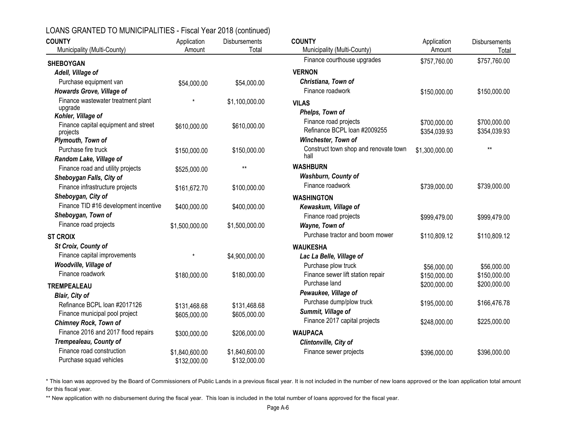| <b>COUNTY</b>                                    | Application    | <b>Disbursements</b> | <b>COUNTY</b>                         | Application    | Disbursements |
|--------------------------------------------------|----------------|----------------------|---------------------------------------|----------------|---------------|
| Municipality (Multi-County)                      | Amount         | Total                | Municipality (Multi-County)           | Amount         | Total         |
| <b>SHEBOYGAN</b>                                 |                |                      | Finance courthouse upgrades           | \$757,760.00   | \$757,760.00  |
| Adell, Village of                                |                |                      | <b>VERNON</b>                         |                |               |
| Purchase equipment van                           | \$54,000.00    | \$54,000.00          | Christiana, Town of                   |                |               |
| Howards Grove, Village of                        |                |                      | Finance roadwork                      | \$150,000.00   | \$150,000.00  |
| Finance wastewater treatment plant               | $\star$        | \$1,100,000.00       | <b>VILAS</b>                          |                |               |
| upgrade                                          |                |                      | Phelps, Town of                       |                |               |
| Kohler, Village of                               |                |                      | Finance road projects                 | \$700,000.00   | \$700,000.00  |
| Finance capital equipment and street<br>projects | \$610,000.00   | \$610,000.00         | Refinance BCPL loan #2009255          | \$354,039.93   | \$354,039.93  |
| Plymouth, Town of                                |                |                      | Winchester, Town of                   |                |               |
| Purchase fire truck                              | \$150,000.00   | \$150,000.00         | Construct town shop and renovate town | \$1,300,000.00 | $***$         |
| Random Lake, Village of                          |                |                      | hall                                  |                |               |
| Finance road and utility projects                | \$525,000.00   | $***$                | <b>WASHBURN</b>                       |                |               |
| Sheboygan Falls, City of                         |                |                      | <b>Washburn, County of</b>            |                |               |
| Finance infrastructure projects                  | \$161,672.70   | \$100,000.00         | Finance roadwork                      | \$739,000.00   | \$739,000.00  |
| Sheboygan, City of                               |                |                      | <b>WASHINGTON</b>                     |                |               |
| Finance TID #16 development incentive            | \$400,000.00   | \$400,000.00         | Kewaskum, Village of                  |                |               |
| Sheboygan, Town of                               |                |                      | Finance road projects                 | \$999,479.00   | \$999,479.00  |
| Finance road projects                            | \$1,500,000.00 | \$1,500,000.00       | Wayne, Town of                        |                |               |
| <b>ST CROIX</b>                                  |                |                      | Purchase tractor and boom mower       | \$110,809.12   | \$110,809.12  |
| St Croix, County of                              |                |                      | <b>WAUKESHA</b>                       |                |               |
| Finance capital improvements                     | $\star$        | \$4,900,000.00       | Lac La Belle, Village of              |                |               |
| Woodville, Village of                            |                |                      | Purchase plow truck                   | \$56,000.00    | \$56,000.00   |
| Finance roadwork                                 | \$180,000.00   | \$180,000.00         | Finance sewer lift station repair     | \$150,000.00   | \$150,000.00  |
| <b>TREMPEALEAU</b>                               |                |                      | Purchase land                         | \$200,000.00   | \$200,000.00  |
| <b>Blair, City of</b>                            |                |                      | Pewaukee, Village of                  |                |               |
| Refinance BCPL loan #2017126                     | \$131,468.68   | \$131,468.68         | Purchase dump/plow truck              | \$195,000.00   | \$166,476.78  |
| Finance municipal pool project                   | \$605,000.00   | \$605,000.00         | Summit, Village of                    |                |               |
| <b>Chimney Rock, Town of</b>                     |                |                      | Finance 2017 capital projects         | \$248,000.00   | \$225,000.00  |
| Finance 2016 and 2017 flood repairs              | \$300,000.00   | \$206,000.00         | <b>WAUPACA</b>                        |                |               |
| Trempealeau, County of                           |                |                      | Clintonville, City of                 |                |               |
| Finance road construction                        | \$1,840,600.00 | \$1,840,600.00       | Finance sewer projects                | \$396,000.00   | \$396,000.00  |
| Purchase squad vehicles                          | \$132,000.00   | \$132,000.00         |                                       |                |               |

\* This loan was approved by the Board of Commissioners of Public Lands in a previous fiscal year. It is not included in the number of new loans approved or the loan application total amount for this fiscal year.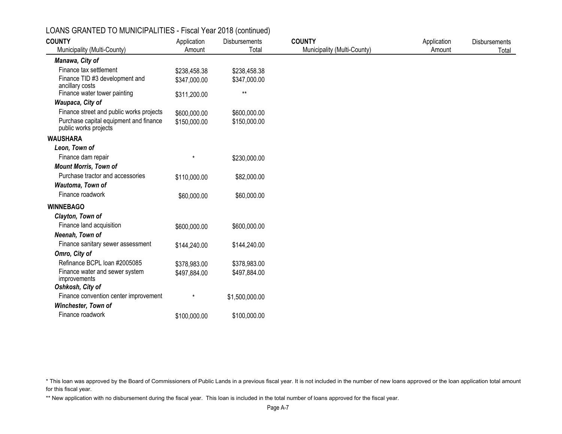| $\frac{1}{2}$ . $\frac{1}{2}$ . The state of the state of the state of the state of the state of the state of the state of the state of the state of the state of the state of the state of the state of the state of the state of th<br><b>COUNTY</b> | Application  | Disbursements  | <b>COUNTY</b>               | Application | <b>Disbursements</b> |
|--------------------------------------------------------------------------------------------------------------------------------------------------------------------------------------------------------------------------------------------------------|--------------|----------------|-----------------------------|-------------|----------------------|
| Municipality (Multi-County)                                                                                                                                                                                                                            | Amount       | Total          | Municipality (Multi-County) | Amount      | Total                |
| Manawa, City of                                                                                                                                                                                                                                        |              |                |                             |             |                      |
| Finance tax settlement                                                                                                                                                                                                                                 | \$238,458.38 | \$238,458.38   |                             |             |                      |
| Finance TID #3 development and<br>ancillary costs                                                                                                                                                                                                      | \$347,000.00 | \$347,000.00   |                             |             |                      |
| Finance water tower painting                                                                                                                                                                                                                           | \$311,200.00 | $***$          |                             |             |                      |
| Waupaca, City of                                                                                                                                                                                                                                       |              |                |                             |             |                      |
| Finance street and public works projects                                                                                                                                                                                                               | \$600,000.00 | \$600,000.00   |                             |             |                      |
| Purchase capital equipment and finance<br>public works projects                                                                                                                                                                                        | \$150,000.00 | \$150,000.00   |                             |             |                      |
| <b>WAUSHARA</b>                                                                                                                                                                                                                                        |              |                |                             |             |                      |
| Leon, Town of                                                                                                                                                                                                                                          |              |                |                             |             |                      |
| Finance dam repair                                                                                                                                                                                                                                     | $\star$      | \$230,000.00   |                             |             |                      |
| <b>Mount Morris, Town of</b>                                                                                                                                                                                                                           |              |                |                             |             |                      |
| Purchase tractor and accessories                                                                                                                                                                                                                       | \$110,000.00 | \$82,000.00    |                             |             |                      |
| Wautoma, Town of                                                                                                                                                                                                                                       |              |                |                             |             |                      |
| Finance roadwork                                                                                                                                                                                                                                       | \$60,000.00  | \$60,000.00    |                             |             |                      |
| <b>WINNEBAGO</b>                                                                                                                                                                                                                                       |              |                |                             |             |                      |
| Clayton, Town of                                                                                                                                                                                                                                       |              |                |                             |             |                      |
| Finance land acquisition                                                                                                                                                                                                                               | \$600,000.00 | \$600,000.00   |                             |             |                      |
| Neenah, Town of                                                                                                                                                                                                                                        |              |                |                             |             |                      |
| Finance sanitary sewer assessment                                                                                                                                                                                                                      | \$144,240.00 | \$144,240.00   |                             |             |                      |
| Omro, City of                                                                                                                                                                                                                                          |              |                |                             |             |                      |
| Refinance BCPL Ioan #2005085                                                                                                                                                                                                                           | \$378,983.00 | \$378,983.00   |                             |             |                      |
| Finance water and sewer system<br>improvements                                                                                                                                                                                                         | \$497,884.00 | \$497,884.00   |                             |             |                      |
| Oshkosh, City of<br>Finance convention center improvement                                                                                                                                                                                              | $\star$      |                |                             |             |                      |
|                                                                                                                                                                                                                                                        |              | \$1,500,000.00 |                             |             |                      |
| Winchester, Town of                                                                                                                                                                                                                                    |              |                |                             |             |                      |
| Finance roadwork                                                                                                                                                                                                                                       | \$100,000.00 | \$100,000.00   |                             |             |                      |

\* This loan was approved by the Board of Commissioners of Public Lands in a previous fiscal year. It is not included in the number of new loans approved or the loan application total amount for this fiscal year.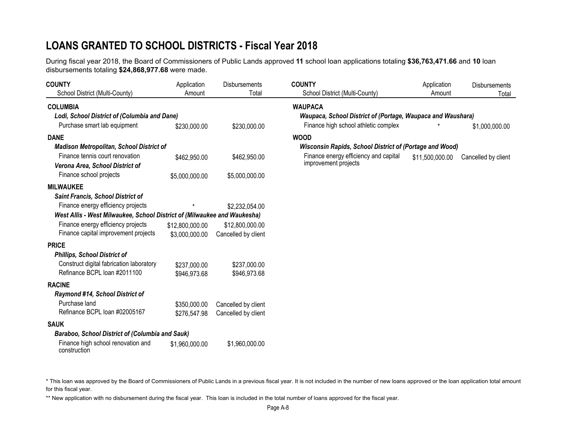# **LOANS GRANTED TO SCHOOL DISTRICTS - Fiscal Year 2018**

During fiscal year 2018, the Board of Commissioners of Public Lands approved **11** school loan applications totaling **\$36,763,471.66** and **10** loan disbursements totaling **\$24,868,977.68** were made.

| <b>COUNTY</b>                                                            | Application     | <b>Disbursements</b> | <b>COUNTY</b>                                                 | Application     | <b>Disbursements</b> |
|--------------------------------------------------------------------------|-----------------|----------------------|---------------------------------------------------------------|-----------------|----------------------|
| School District (Multi-County)                                           | Amount          | Total                | School District (Multi-County)                                | Amount          | Total                |
| <b>COLUMBIA</b>                                                          |                 |                      | <b>WAUPACA</b>                                                |                 |                      |
| Lodi, School District of (Columbia and Dane)                             |                 |                      | Waupaca, School District of (Portage, Waupaca and Waushara)   |                 |                      |
| Purchase smart lab equipment                                             | \$230,000.00    | \$230,000.00         | Finance high school athletic complex                          |                 | \$1,000,000.00       |
| <b>DANE</b>                                                              |                 |                      | <b>WOOD</b>                                                   |                 |                      |
| <b>Madison Metropolitan, School District of</b>                          |                 |                      | Wisconsin Rapids, School District of (Portage and Wood)       |                 |                      |
| Finance tennis court renovation<br>Verona Area, School District of       | \$462,950.00    | \$462,950.00         | Finance energy efficiency and capital<br>improvement projects | \$11,500,000.00 | Cancelled by client  |
| Finance school projects                                                  | \$5,000,000.00  | \$5,000,000.00       |                                                               |                 |                      |
| <b>MILWAUKEE</b>                                                         |                 |                      |                                                               |                 |                      |
| <b>Saint Francis, School District of</b>                                 |                 |                      |                                                               |                 |                      |
| Finance energy efficiency projects                                       |                 | \$2,232,054.00       |                                                               |                 |                      |
| West Allis - West Milwaukee, School District of (Milwaukee and Waukesha) |                 |                      |                                                               |                 |                      |
| Finance energy efficiency projects                                       | \$12,800,000.00 | \$12,800,000.00      |                                                               |                 |                      |
| Finance capital improvement projects                                     | \$3,000,000.00  | Cancelled by client  |                                                               |                 |                      |
| <b>PRICE</b>                                                             |                 |                      |                                                               |                 |                      |
| <b>Phillips, School District of</b>                                      |                 |                      |                                                               |                 |                      |
| Construct digital fabrication laboratory                                 | \$237,000.00    | \$237,000.00         |                                                               |                 |                      |
| Refinance BCPL loan #2011100                                             | \$946,973.68    | \$946,973.68         |                                                               |                 |                      |
| <b>RACINE</b>                                                            |                 |                      |                                                               |                 |                      |
| Raymond #14, School District of                                          |                 |                      |                                                               |                 |                      |
| Purchase land                                                            | \$350,000.00    | Cancelled by client  |                                                               |                 |                      |
| Refinance BCPL loan #02005167                                            | \$276,547.98    | Cancelled by client  |                                                               |                 |                      |
| <b>SAUK</b>                                                              |                 |                      |                                                               |                 |                      |
| Baraboo, School District of (Columbia and Sauk)                          |                 |                      |                                                               |                 |                      |
| Finance high school renovation and<br>construction                       | \$1,960,000.00  | \$1,960,000.00       |                                                               |                 |                      |

\* This loan was approved by the Board of Commissioners of Public Lands in a previous fiscal year. It is not included in the number of new loans approved or the loan application total amount for this fiscal year.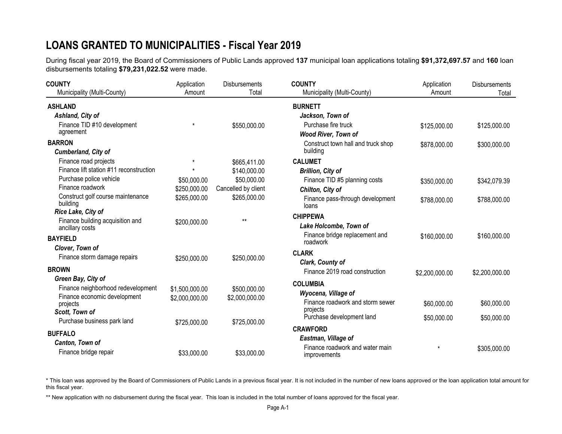# **LOANS GRANTED TO MUNICIPALITIES - Fiscal Year 2019**

During fiscal year 2019, the Board of Commissioners of Public Lands approved **137** municipal loan applications totaling **\$91,372,697.57** and **160** loan disbursements totaling **\$79,231,022.52** were made.

| <b>COUNTY</b>                                       | Application    | <b>Disbursements</b> | <b>COUNTY</b>                                   | Application    | <b>Disbursements</b> |
|-----------------------------------------------------|----------------|----------------------|-------------------------------------------------|----------------|----------------------|
| Municipality (Multi-County)                         | Amount         | Total                | Municipality (Multi-County)                     | Amount         | Total                |
| <b>ASHLAND</b>                                      |                |                      | <b>BURNETT</b>                                  |                |                      |
| Ashland, City of                                    |                |                      | Jackson, Town of                                |                |                      |
| Finance TID #10 development                         | $\star$        | \$550,000.00         | Purchase fire truck                             | \$125,000.00   | \$125,000.00         |
| agreement                                           |                |                      | <b>Wood River, Town of</b>                      |                |                      |
| <b>BARRON</b>                                       |                |                      | Construct town hall and truck shop              | \$878,000.00   | \$300,000.00         |
| Cumberland, City of                                 |                |                      | building                                        |                |                      |
| Finance road projects                               | $\star$        | \$665,411.00         | <b>CALUMET</b>                                  |                |                      |
| Finance lift station #11 reconstruction             | $\star$        | \$140,000.00         | <b>Brillion, City of</b>                        |                |                      |
| Purchase police vehicle                             | \$50,000.00    | \$50,000.00          | Finance TID #5 planning costs                   | \$350,000.00   | \$342,079.39         |
| Finance roadwork                                    | \$250,000.00   | Cancelled by client  | Chilton, City of                                |                |                      |
| Construct golf course maintenance<br>building       | \$265,000.00   | \$265,000.00         | Finance pass-through development<br>loans       | \$788,000.00   | \$788,000.00         |
| Rice Lake, City of                                  |                |                      | <b>CHIPPEWA</b>                                 |                |                      |
| Finance building acquisition and<br>ancillary costs | \$200,000.00   | $***$                | Lake Holcombe, Town of                          |                |                      |
| <b>BAYFIELD</b>                                     |                |                      | Finance bridge replacement and<br>roadwork      | \$160,000.00   | \$160,000.00         |
| Clover, Town of                                     |                |                      |                                                 |                |                      |
| Finance storm damage repairs                        | \$250,000.00   | \$250,000.00         | <b>CLARK</b><br>Clark, County of                |                |                      |
| <b>BROWN</b>                                        |                |                      | Finance 2019 road construction                  |                |                      |
| Green Bay, City of                                  |                |                      |                                                 | \$2,200,000.00 | \$2,200,000.00       |
| Finance neighborhood redevelopment                  | \$1,500,000.00 | \$500,000.00         | <b>COLUMBIA</b>                                 |                |                      |
| Finance economic development                        | \$2,000,000.00 | \$2,000,000.00       | Wyocena, Village of                             |                |                      |
| projects                                            |                |                      | Finance roadwork and storm sewer                | \$60,000.00    | \$60,000.00          |
| Scott, Town of                                      |                |                      | projects<br>Purchase development land           | \$50,000.00    | \$50,000.00          |
| Purchase business park land                         | \$725,000.00   | \$725,000.00         |                                                 |                |                      |
| <b>BUFFALO</b>                                      |                |                      | <b>CRAWFORD</b>                                 |                |                      |
| Canton, Town of                                     |                |                      | Eastman, Village of                             |                |                      |
| Finance bridge repair                               | \$33,000.00    | \$33,000.00          | Finance roadwork and water main<br>improvements |                | \$305,000.00         |

\* This loan was approved by the Board of Commissioners of Public Lands in a previous fiscal year. It is not included in the number of new loans approved or the loan application total amount for this fiscal year.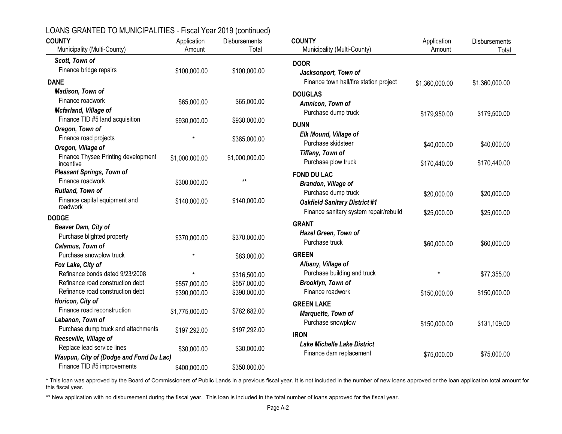| LOANS GRANTED TO MUNICIPALITIES - Fiscal Year 2019 (continued) |  |
|----------------------------------------------------------------|--|
|----------------------------------------------------------------|--|

| <b>COUNTY</b><br>Municipality (Multi-County)         | Application<br>Amount        | Disbursements<br>Total       | <b>COUNTY</b>                                     | Application<br>Amount | Disbursements  |
|------------------------------------------------------|------------------------------|------------------------------|---------------------------------------------------|-----------------------|----------------|
|                                                      |                              |                              | Municipality (Multi-County)                       |                       | Total          |
| Scott, Town of                                       |                              |                              | <b>DOOR</b>                                       |                       |                |
| Finance bridge repairs                               | \$100,000.00                 | \$100,000.00                 | Jacksonport, Town of                              |                       |                |
| <b>DANE</b>                                          |                              |                              | Finance town hall/fire station project            | \$1,360,000.00        | \$1,360,000.00 |
| Madison, Town of                                     |                              |                              | <b>DOUGLAS</b>                                    |                       |                |
| Finance roadwork                                     | \$65,000.00                  | \$65,000.00                  | Amnicon, Town of                                  |                       |                |
| Mcfarland, Village of                                |                              |                              | Purchase dump truck                               | \$179,950.00          | \$179,500.00   |
| Finance TID #5 land acquisition                      | \$930,000.00                 | \$930,000.00                 | <b>DUNN</b>                                       |                       |                |
| Oregon, Town of                                      |                              |                              |                                                   |                       |                |
| Finance road projects                                | $\star$                      | \$385,000.00                 | Elk Mound, Village of<br>Purchase skidsteer       |                       |                |
| Oregon, Village of                                   |                              |                              |                                                   | \$40,000.00           | \$40,000.00    |
| Finance Thysee Printing development<br>incentive     | \$1,000,000.00               | \$1,000,000.00               | Tiffany, Town of<br>Purchase plow truck           | \$170,440.00          | \$170,440.00   |
| <b>Pleasant Springs, Town of</b>                     |                              |                              | <b>FOND DU LAC</b>                                |                       |                |
| Finance roadwork                                     | \$300,000.00                 | $***$                        | Brandon, Village of                               |                       |                |
| Rutland, Town of                                     |                              |                              | Purchase dump truck                               | \$20,000.00           | \$20,000.00    |
| Finance capital equipment and<br>roadwork            | \$140,000.00                 | \$140,000.00                 | <b>Oakfield Sanitary District #1</b>              |                       |                |
|                                                      |                              |                              | Finance sanitary system repair/rebuild            | \$25,000.00           | \$25,000.00    |
| <b>DODGE</b>                                         |                              |                              | <b>GRANT</b>                                      |                       |                |
| Beaver Dam, City of                                  |                              |                              | Hazel Green, Town of                              |                       |                |
| Purchase blighted property                           | \$370,000.00                 | \$370,000.00                 | Purchase truck                                    | \$60,000.00           | \$60,000.00    |
| Calamus, Town of                                     | $\star$                      |                              | <b>GREEN</b>                                      |                       |                |
| Purchase snowplow truck                              |                              | \$83,000.00                  |                                                   |                       |                |
| Fox Lake, City of<br>Refinance bonds dated 9/23/2008 | $\star$                      |                              | Albany, Village of<br>Purchase building and truck | $\star$               |                |
| Refinance road construction debt                     |                              | \$316,500.00                 | Brooklyn, Town of                                 |                       | \$77,355.00    |
| Refinance road construction debt                     | \$557,000.00<br>\$390,000.00 | \$557,000.00<br>\$390,000.00 | Finance roadwork                                  |                       |                |
| Horicon, City of                                     |                              |                              |                                                   | \$150,000.00          | \$150,000.00   |
| Finance road reconstruction                          | \$1,775,000.00               | \$782,682.00                 | <b>GREEN LAKE</b>                                 |                       |                |
| Lebanon, Town of                                     |                              |                              | Marquette, Town of                                |                       |                |
| Purchase dump truck and attachments                  | \$197,292.00                 | \$197,292.00                 | Purchase snowplow                                 | \$150,000.00          | \$131,109.00   |
| Reeseville, Village of                               |                              |                              | <b>IRON</b>                                       |                       |                |
| Replace lead service lines                           | \$30,000.00                  | \$30,000.00                  | <b>Lake Michelle Lake District</b>                |                       |                |
| Waupun, City of (Dodge and Fond Du Lac)              |                              |                              | Finance dam replacement                           | \$75,000.00           | \$75,000.00    |
| Finance TID #5 improvements                          | \$400,000.00                 | \$350,000.00                 |                                                   |                       |                |

\* This loan was approved by the Board of Commissioners of Public Lands in a previous fiscal year. It is not included in the number of new loans approved or the loan application total amount for this fiscal year.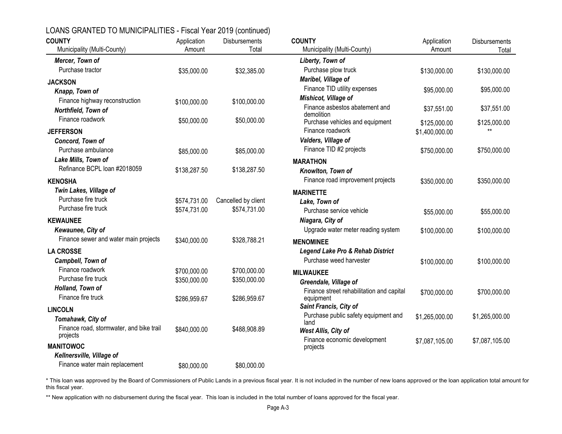| <b>COUNTY</b><br>Municipality (Multi-County) | Application<br>Amount | <b>Disbursements</b><br>Total | <b>COUNTY</b><br>Municipality (Multi-County)                       | Application<br>Amount          | Disbursements<br>Total |
|----------------------------------------------|-----------------------|-------------------------------|--------------------------------------------------------------------|--------------------------------|------------------------|
| Mercer, Town of                              |                       |                               | Liberty, Town of                                                   |                                |                        |
| Purchase tractor                             | \$35,000.00           | \$32,385.00                   | Purchase plow truck                                                | \$130,000.00                   | \$130,000.00           |
| <b>JACKSON</b>                               |                       |                               | Maribel, Village of                                                |                                |                        |
| Knapp, Town of                               |                       |                               | Finance TID utility expenses                                       | \$95,000.00                    | \$95,000.00            |
| Finance highway reconstruction               | \$100,000.00          | \$100,000.00                  | Mishicot, Village of                                               |                                |                        |
| Northfield, Town of                          |                       |                               | Finance asbestos abatement and                                     | \$37,551.00                    | \$37,551.00            |
| Finance roadwork                             | \$50,000.00           | \$50,000.00                   | demolition<br>Purchase vehicles and equipment                      |                                |                        |
| <b>JEFFERSON</b>                             |                       |                               | Finance roadwork                                                   | \$125,000.00<br>\$1,400,000.00 | \$125,000.00           |
| Concord, Town of                             |                       |                               | Valders, Village of                                                |                                |                        |
| Purchase ambulance                           | \$85,000.00           | \$85,000.00                   | Finance TID #2 projects                                            | \$750,000.00                   | \$750,000.00           |
| Lake Mills, Town of                          |                       |                               | <b>MARATHON</b>                                                    |                                |                        |
| Refinance BCPL loan #2018059                 | \$138,287.50          | \$138,287.50                  | Knowlton, Town of                                                  |                                |                        |
| <b>KENOSHA</b>                               |                       |                               | Finance road improvement projects                                  | \$350,000.00                   | \$350,000.00           |
| Twin Lakes, Village of                       |                       |                               | <b>MARINETTE</b>                                                   |                                |                        |
| Purchase fire truck                          | \$574,731.00          | Cancelled by client           | Lake, Town of                                                      |                                |                        |
| Purchase fire truck                          | \$574,731.00          | \$574,731.00                  | Purchase service vehicle                                           | \$55,000.00                    | \$55,000.00            |
| <b>KEWAUNEE</b>                              |                       |                               | Niagara, City of                                                   |                                |                        |
| Kewaunee, City of                            |                       |                               | Upgrade water meter reading system                                 | \$100,000.00                   | \$100,000.00           |
| Finance sewer and water main projects        | \$340,000.00          | \$328,788.21                  | <b>MENOMINEE</b>                                                   |                                |                        |
| <b>LA CROSSE</b>                             |                       |                               | <b>Legend Lake Pro &amp; Rehab District</b>                        |                                |                        |
| Campbell, Town of                            |                       |                               | Purchase weed harvester                                            | \$100,000.00                   | \$100,000.00           |
| Finance roadwork                             | \$700,000.00          | \$700,000.00                  |                                                                    |                                |                        |
| Purchase fire truck                          | \$350,000.00          | \$350,000.00                  | <b>MILWAUKEE</b>                                                   |                                |                        |
| Holland, Town of                             |                       |                               | Greendale, Village of<br>Finance street rehabilitation and capital |                                |                        |
| Finance fire truck                           | \$286,959.67          | \$286,959.67                  | equipment                                                          | \$700,000.00                   | \$700,000.00           |
| <b>LINCOLN</b>                               |                       |                               | Saint Francis, City of                                             |                                |                        |
| Tomahawk, City of                            |                       |                               | Purchase public safety equipment and                               | \$1,265,000.00                 | \$1,265,000.00         |
| Finance road, stormwater, and bike trail     | \$840,000.00          | \$488,908.89                  | land<br>West Allis, City of                                        |                                |                        |
| projects                                     |                       |                               | Finance economic development                                       | \$7,087,105.00                 | \$7,087,105.00         |
| <b>MANITOWOC</b>                             |                       |                               | projects                                                           |                                |                        |
| Kellnersville, Village of                    |                       |                               |                                                                    |                                |                        |
| Finance water main replacement               | \$80,000.00           | \$80,000.00                   |                                                                    |                                |                        |

\* This loan was approved by the Board of Commissioners of Public Lands in a previous fiscal year. It is not included in the number of new loans approved or the loan application total amount for this fiscal year.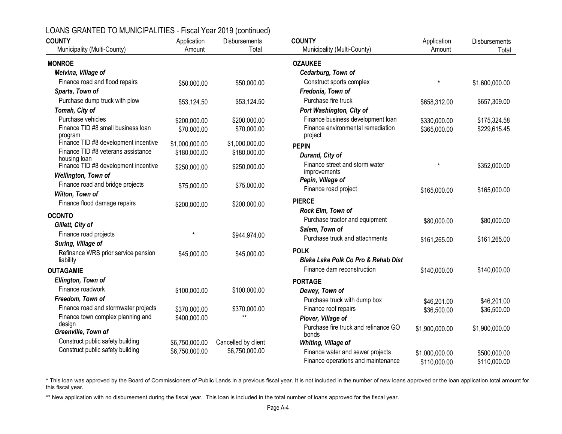| LOANS GRANTED TO MUNICIPALITIES - Fiscal Year 2019 (continued) |  |
|----------------------------------------------------------------|--|
|----------------------------------------------------------------|--|

| <b>COUNTY</b>                                      | Application    | Disbursements       | <b>COUNTY</b>                                  | Application    | <b>Disbursements</b> |
|----------------------------------------------------|----------------|---------------------|------------------------------------------------|----------------|----------------------|
| Municipality (Multi-County)                        | Amount         | Total               | Municipality (Multi-County)                    | Amount         | Total                |
| <b>MONROE</b>                                      |                |                     | <b>OZAUKEE</b>                                 |                |                      |
| Melvina, Village of                                |                |                     | Cedarburg, Town of                             |                |                      |
| Finance road and flood repairs                     | \$50,000.00    | \$50,000.00         | Construct sports complex                       | $\star$        | \$1,600,000.00       |
| Sparta, Town of                                    |                |                     | Fredonia, Town of                              |                |                      |
| Purchase dump truck with plow                      | \$53,124.50    | \$53,124.50         | Purchase fire truck                            | \$658,312.00   | \$657,309.00         |
| Tomah, City of                                     |                |                     | Port Washington, City of                       |                |                      |
| Purchase vehicles                                  | \$200,000.00   | \$200,000.00        | Finance business development loan              | \$330,000.00   | \$175,324.58         |
| Finance TID #8 small business loan<br>program      | \$70,000.00    | \$70,000.00         | Finance environmental remediation<br>project   | \$365,000.00   | \$229,615.45         |
| Finance TID #8 development incentive               | \$1,000,000.00 | \$1,000,000.00      | <b>PEPIN</b>                                   |                |                      |
| Finance TID #8 veterans assistance<br>housing loan | \$180,000.00   | \$180,000.00        | Durand, City of                                |                |                      |
| Finance TID #8 development incentive               | \$250,000.00   | \$250,000.00        | Finance street and storm water                 | $\star$        | \$352,000.00         |
| Wellington, Town of                                |                |                     | improvements                                   |                |                      |
| Finance road and bridge projects                   | \$75,000.00    | \$75,000.00         | Pepin, Village of                              |                |                      |
| Wilton, Town of                                    |                |                     | Finance road project                           | \$165,000.00   | \$165,000.00         |
| Finance flood damage repairs                       | \$200,000.00   | \$200,000.00        | <b>PIERCE</b>                                  |                |                      |
| <b>OCONTO</b>                                      |                |                     | Rock Elm, Town of                              |                |                      |
| Gillett, City of                                   |                |                     | Purchase tractor and equipment                 | \$80,000.00    | \$80,000.00          |
| Finance road projects                              | $\star$        | \$944,974.00        | Salem, Town of                                 |                |                      |
| Suring, Village of                                 |                |                     | Purchase truck and attachments                 | \$161,265.00   | \$161,265.00         |
| Refinance WRS prior service pension                | \$45,000.00    | \$45,000.00         | <b>POLK</b>                                    |                |                      |
| liability                                          |                |                     | <b>Blake Lake Polk Co Pro &amp; Rehab Dist</b> |                |                      |
| <b>OUTAGAMIE</b>                                   |                |                     | Finance dam reconstruction                     | \$140,000.00   | \$140,000.00         |
| Ellington, Town of                                 |                |                     | <b>PORTAGE</b>                                 |                |                      |
| Finance roadwork                                   | \$100,000.00   | \$100,000.00        | Dewey, Town of                                 |                |                      |
| Freedom, Town of                                   |                |                     | Purchase truck with dump box                   | \$46,201.00    | \$46,201.00          |
| Finance road and stormwater projects               | \$370,000.00   | \$370,000.00        | Finance roof repairs                           | \$36,500.00    | \$36,500.00          |
| Finance town complex planning and                  | \$400,000.00   | $**$                | Plover, Village of                             |                |                      |
| design                                             |                |                     | Purchase fire truck and refinance GO           | \$1,900,000.00 | \$1,900,000.00       |
| Greenville, Town of                                |                |                     | bonds                                          |                |                      |
| Construct public safety building                   | \$6,750,000.00 | Cancelled by client | Whiting, Village of                            |                |                      |
| Construct public safety building                   | \$6,750,000.00 | \$6,750,000.00      | Finance water and sewer projects               | \$1,000,000.00 | \$500,000.00         |
|                                                    |                |                     | Finance operations and maintenance             | \$110,000.00   | \$110,000.00         |

\* This loan was approved by the Board of Commissioners of Public Lands in a previous fiscal year. It is not included in the number of new loans approved or the loan application total amount for this fiscal year.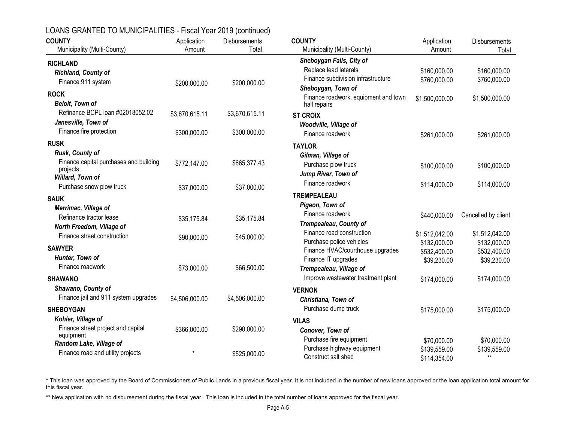| <b>COUNTY</b><br>Municipality (Multi-County)                              | Application<br>Amount | Disbursements<br>Total | <b>COUNTY</b><br>Municipality (Multi-County)                                      | Application<br>Amount                       | Disbursements<br>Total               |
|---------------------------------------------------------------------------|-----------------------|------------------------|-----------------------------------------------------------------------------------|---------------------------------------------|--------------------------------------|
|                                                                           |                       |                        | Sheboygan Falls, City of                                                          |                                             |                                      |
| <b>RICHLAND</b><br>Richland, County of<br>Finance 911 system              | \$200,000.00          | \$200,000.00           | Replace lead laterals<br>Finance subdivision infrastructure<br>Sheboygan, Town of | \$160,000.00<br>\$760,000.00                | \$160,000.00<br>\$760,000.00         |
| <b>ROCK</b><br><b>Beloit, Town of</b>                                     |                       |                        | Finance roadwork, equipment and town<br>hall repairs                              | \$1,500,000.00                              | \$1,500,000.00                       |
| Refinance BCPL loan #02018052.02                                          | \$3,670,615.11        | \$3,670,615.11         | <b>ST CROIX</b>                                                                   |                                             |                                      |
| Janesville, Town of<br>Finance fire protection                            | \$300,000.00          | \$300,000.00           | Woodville, Village of<br>Finance roadwork                                         | \$261,000.00                                | \$261,000.00                         |
| <b>RUSK</b>                                                               |                       |                        | <b>TAYLOR</b>                                                                     |                                             |                                      |
| Rusk, County of<br>Finance capital purchases and building<br>projects     | \$772,147.00          | \$665,377.43           | Gilman, Village of<br>Purchase plow truck                                         | \$100,000.00                                | \$100,000.00                         |
| Willard, Town of<br>Purchase snow plow truck                              | \$37,000.00           | \$37,000.00            | Jump River, Town of<br>Finance roadwork                                           | \$114,000.00                                | \$114,000.00                         |
| <b>SAUK</b>                                                               |                       |                        | <b>TREMPEALEAU</b>                                                                |                                             |                                      |
| Merrimac, Village of                                                      |                       |                        | Pigeon, Town of                                                                   |                                             |                                      |
| Refinance tractor lease                                                   | \$35,175.84           | \$35,175.84            | Finance roadwork                                                                  | \$440,000.00                                | Cancelled by client                  |
| North Freedom, Village of                                                 |                       |                        | Trempealeau, County of                                                            |                                             |                                      |
| Finance street construction                                               | \$90,000.00           | \$45,000.00            | Finance road construction                                                         | \$1,512,042.00                              | \$1,512,042.00                       |
| <b>SAWYER</b>                                                             |                       |                        | Purchase police vehicles<br>Finance HVAC/courthouse upgrades                      | \$132,000.00<br>\$532,400.00                | \$132,000.00<br>\$532,400.00         |
| Hunter, Town of<br>Finance roadwork                                       |                       | \$66,500.00            | Finance IT upgrades                                                               | \$39,230.00                                 | \$39,230.00                          |
|                                                                           | \$73,000.00           |                        | Trempealeau, Village of                                                           |                                             |                                      |
| <b>SHAWANO</b>                                                            |                       |                        | Improve wastewater treatment plant                                                | \$174,000.00                                | \$174,000.00                         |
| Shawano, County of<br>Finance jail and 911 system upgrades                | \$4,506,000.00        | \$4,506,000.00         | <b>VERNON</b><br>Christiana, Town of                                              |                                             |                                      |
| <b>SHEBOYGAN</b>                                                          |                       |                        | Purchase dump truck                                                               | \$175,000.00                                | \$175,000.00                         |
| Kohler, Village of<br>Finance street project and capital                  | \$366,000.00          | \$290,000.00           | <b>VILAS</b><br>Conover, Town of                                                  |                                             |                                      |
| equipment<br>Random Lake, Village of<br>Finance road and utility projects |                       | \$525,000.00           | Purchase fire equipment<br>Purchase highway equipment<br>Construct salt shed      | \$70,000.00<br>\$139,559.00<br>\$114,354.00 | \$70,000.00<br>\$139,559.00<br>$***$ |

\* This loan was approved by the Board of Commissioners of Public Lands in a previous fiscal year. It is not included in the number of new loans approved or the loan application total amount for this fiscal year.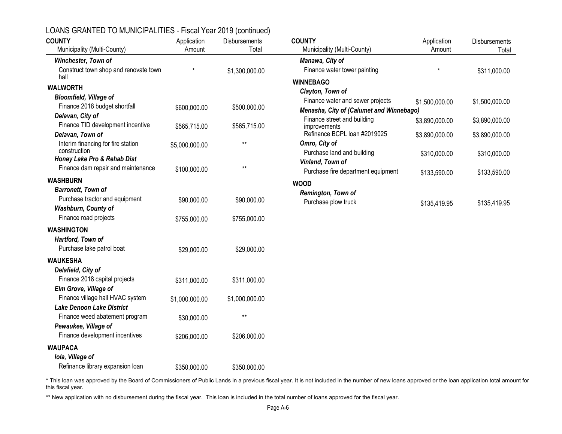| <b>COUNTY</b><br>Municipality (Multi-County)  | Application<br>Amount | <b>Disbursements</b><br>Total | <b>COUNTY</b><br>Municipality (Multi-County) | Application<br>Amount | Disbursements<br>Total |
|-----------------------------------------------|-----------------------|-------------------------------|----------------------------------------------|-----------------------|------------------------|
| Winchester, Town of                           |                       |                               | Manawa, City of                              |                       |                        |
| Construct town shop and renovate town<br>hall |                       | \$1,300,000.00                | Finance water tower painting                 | $\star$               | \$311,000.00           |
| <b>WALWORTH</b>                               |                       |                               | <b>WINNEBAGO</b>                             |                       |                        |
| <b>Bloomfield, Village of</b>                 |                       |                               | Clayton, Town of                             |                       |                        |
| Finance 2018 budget shortfall                 | \$600,000.00          | \$500,000.00                  | Finance water and sewer projects             | \$1,500,000.00        | \$1,500,000.00         |
| Delavan, City of                              |                       |                               | Menasha, City of (Calumet and Winnebago)     |                       |                        |
| Finance TID development incentive             | \$565,715.00          | \$565,715.00                  | Finance street and building<br>improvements  | \$3,890,000.00        | \$3,890,000.00         |
| Delavan, Town of                              |                       |                               | Refinance BCPL loan #2019025                 | \$3,890,000.00        | \$3,890,000.00         |
| Interim financing for fire station            | \$5,000,000.00        | $***$                         | Omro, City of                                |                       |                        |
| construction                                  |                       |                               | Purchase land and building                   | \$310,000.00          | \$310,000.00           |
| Honey Lake Pro & Rehab Dist                   |                       |                               | Vinland, Town of                             |                       |                        |
| Finance dam repair and maintenance            | \$100,000.00          | $^{\star\star}$               | Purchase fire department equipment           | \$133,590.00          | \$133,590.00           |
| <b>WASHBURN</b>                               |                       |                               | <b>WOOD</b>                                  |                       |                        |
| <b>Barronett, Town of</b>                     |                       |                               | Remington, Town of                           |                       |                        |
| Purchase tractor and equipment                | \$90,000.00           | \$90,000.00                   | Purchase plow truck                          | \$135,419.95          | \$135,419.95           |
| Washburn, County of                           |                       |                               |                                              |                       |                        |
| Finance road projects                         | \$755,000.00          | \$755,000.00                  |                                              |                       |                        |
| <b>WASHINGTON</b>                             |                       |                               |                                              |                       |                        |
| Hartford, Town of                             |                       |                               |                                              |                       |                        |
| Purchase lake patrol boat                     | \$29,000.00           | \$29,000.00                   |                                              |                       |                        |
| <b>WAUKESHA</b>                               |                       |                               |                                              |                       |                        |
| Delafield, City of                            |                       |                               |                                              |                       |                        |
| Finance 2018 capital projects                 |                       |                               |                                              |                       |                        |
| Elm Grove, Village of                         | \$311,000.00          | \$311,000.00                  |                                              |                       |                        |
| Finance village hall HVAC system              |                       |                               |                                              |                       |                        |
| <b>Lake Denoon Lake District</b>              | \$1,000,000.00        | \$1,000,000.00                |                                              |                       |                        |
| Finance weed abatement program                |                       | $***$                         |                                              |                       |                        |
| Pewaukee, Village of                          | \$30,000.00           |                               |                                              |                       |                        |
| Finance development incentives                |                       | \$206,000.00                  |                                              |                       |                        |
|                                               | \$206,000.00          |                               |                                              |                       |                        |
| <b>WAUPACA</b>                                |                       |                               |                                              |                       |                        |
| Iola, Village of                              |                       |                               |                                              |                       |                        |
| Refinance library expansion loan              | \$350,000.00          | \$350,000.00                  |                                              |                       |                        |

\* This loan was approved by the Board of Commissioners of Public Lands in a previous fiscal year. It is not included in the number of new loans approved or the loan application total amount for this fiscal year.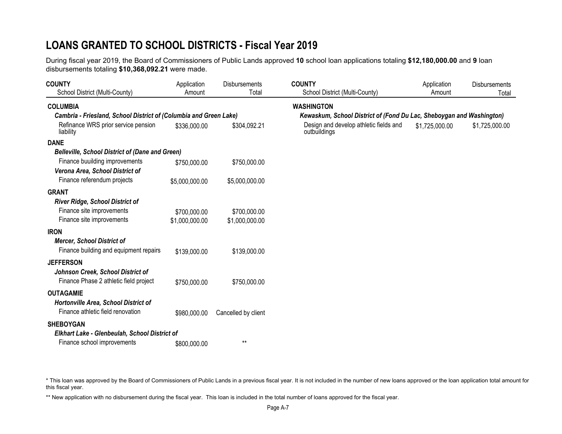# **LOANS GRANTED TO SCHOOL DISTRICTS - Fiscal Year 2019**

During fiscal year 2019, the Board of Commissioners of Public Lands approved **10** school loan applications totaling **\$12,180,000.00** and **9** loan disbursements totaling **\$10,368,092.21** were made.

| <b>COUNTY</b><br>School District (Multi-County)                             | Application<br>Amount          | Disbursements<br>Total         | <b>COUNTY</b><br>School District (Multi-County)                      | Application<br>Amount | <b>Disbursements</b><br>Total |
|-----------------------------------------------------------------------------|--------------------------------|--------------------------------|----------------------------------------------------------------------|-----------------------|-------------------------------|
| <b>COLUMBIA</b>                                                             |                                |                                | <b>WASHINGTON</b>                                                    |                       |                               |
| Cambria - Friesland, School District of (Columbia and Green Lake)           |                                |                                | Kewaskum, School District of (Fond Du Lac, Sheboygan and Washington) |                       |                               |
| Refinance WRS prior service pension<br>liability                            | \$336,000.00                   | \$304,092.21                   | Design and develop athletic fields and<br>outbuildings               | \$1,725,000.00        | \$1,725,000.00                |
| <b>DANE</b>                                                                 |                                |                                |                                                                      |                       |                               |
| <b>Belleville, School District of (Dane and Green)</b>                      |                                |                                |                                                                      |                       |                               |
| Finance buuilding improvements<br>Verona Area, School District of           | \$750,000.00                   | \$750,000.00                   |                                                                      |                       |                               |
| Finance referendum projects                                                 | \$5,000,000.00                 | \$5,000,000.00                 |                                                                      |                       |                               |
| <b>GRANT</b>                                                                |                                |                                |                                                                      |                       |                               |
| <b>River Ridge, School District of</b><br>Finance site improvements         |                                |                                |                                                                      |                       |                               |
| Finance site improvements                                                   | \$700,000.00<br>\$1,000,000.00 | \$700,000.00<br>\$1,000,000.00 |                                                                      |                       |                               |
| <b>IRON</b>                                                                 |                                |                                |                                                                      |                       |                               |
| <b>Mercer, School District of</b><br>Finance building and equipment repairs | \$139,000.00                   | \$139,000.00                   |                                                                      |                       |                               |
| <b>JEFFERSON</b>                                                            |                                |                                |                                                                      |                       |                               |
| Johnson Creek, School District of<br>Finance Phase 2 athletic field project | \$750,000.00                   | \$750,000.00                   |                                                                      |                       |                               |
| <b>OUTAGAMIE</b>                                                            |                                |                                |                                                                      |                       |                               |
| Hortonville Area, School District of<br>Finance athletic field renovation   | \$980,000.00                   | Cancelled by client            |                                                                      |                       |                               |
| <b>SHEBOYGAN</b>                                                            |                                |                                |                                                                      |                       |                               |
| Elkhart Lake - Glenbeulah, School District of                               |                                |                                |                                                                      |                       |                               |
| Finance school improvements                                                 | \$800,000.00                   | $***$                          |                                                                      |                       |                               |

\* This loan was approved by the Board of Commissioners of Public Lands in a previous fiscal year. It is not included in the number of new loans approved or the loan application total amount for this fiscal year.